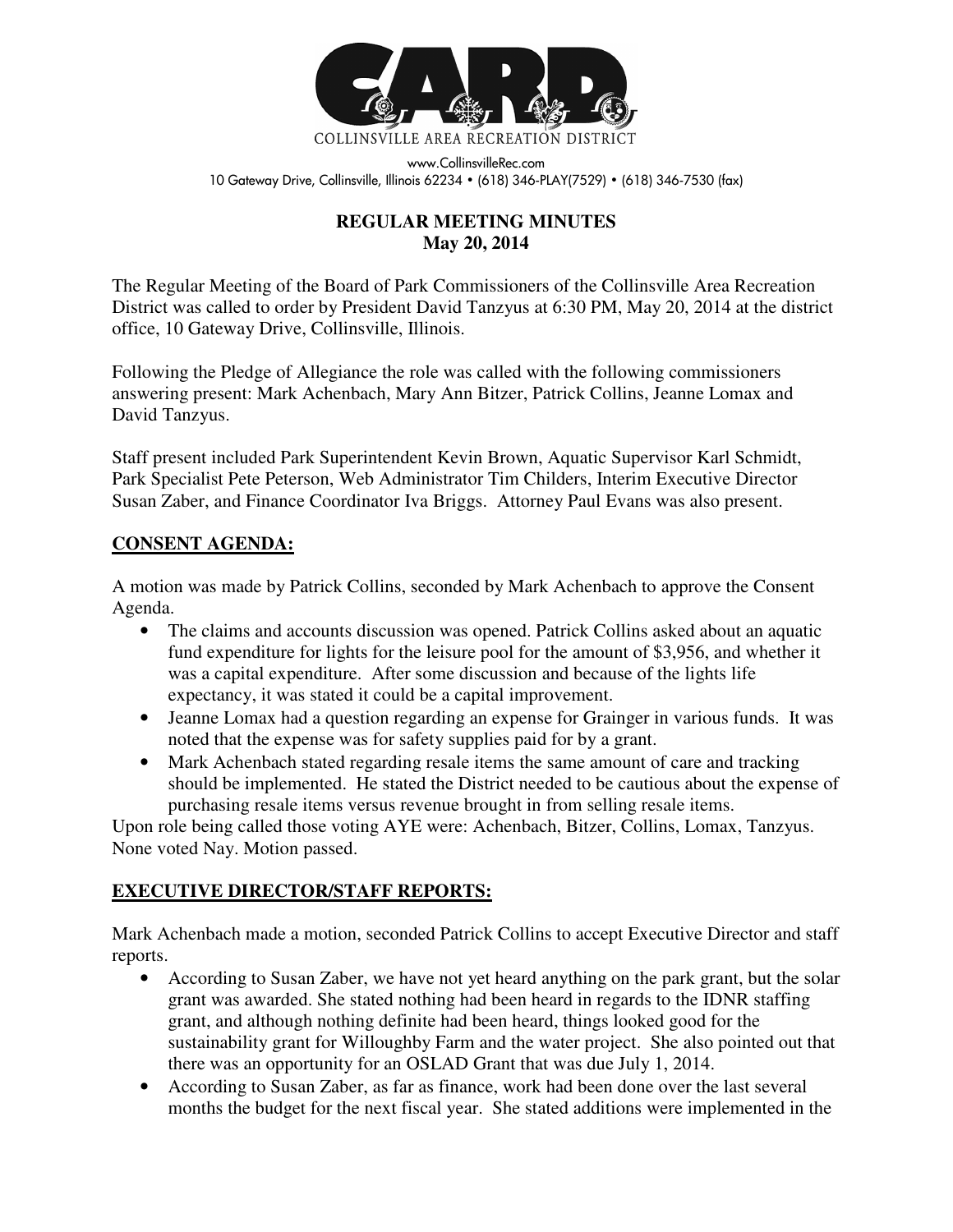

www.CollinsvilleRec.com 10 Gateway Drive, Collinsville, Illinois 62234 • (618) 346-PLAY(7529) • (618) 346-7530 (fax)

## **REGULAR MEETING MINUTES May 20, 2014**

The Regular Meeting of the Board of Park Commissioners of the Collinsville Area Recreation District was called to order by President David Tanzyus at 6:30 PM, May 20, 2014 at the district office, 10 Gateway Drive, Collinsville, Illinois.

Following the Pledge of Allegiance the role was called with the following commissioners answering present: Mark Achenbach, Mary Ann Bitzer, Patrick Collins, Jeanne Lomax and David Tanzyus.

Staff present included Park Superintendent Kevin Brown, Aquatic Supervisor Karl Schmidt, Park Specialist Pete Peterson, Web Administrator Tim Childers, Interim Executive Director Susan Zaber, and Finance Coordinator Iva Briggs. Attorney Paul Evans was also present.

### **CONSENT AGENDA:**

A motion was made by Patrick Collins, seconded by Mark Achenbach to approve the Consent Agenda.

- The claims and accounts discussion was opened. Patrick Collins asked about an aquatic fund expenditure for lights for the leisure pool for the amount of \$3,956, and whether it was a capital expenditure. After some discussion and because of the lights life expectancy, it was stated it could be a capital improvement.
- Jeanne Lomax had a question regarding an expense for Grainger in various funds. It was noted that the expense was for safety supplies paid for by a grant.
- Mark Achenbach stated regarding resale items the same amount of care and tracking should be implemented. He stated the District needed to be cautious about the expense of purchasing resale items versus revenue brought in from selling resale items.

Upon role being called those voting AYE were: Achenbach, Bitzer, Collins, Lomax, Tanzyus. None voted Nay. Motion passed.

# **EXECUTIVE DIRECTOR/STAFF REPORTS:**

Mark Achenbach made a motion, seconded Patrick Collins to accept Executive Director and staff reports.

- According to Susan Zaber, we have not yet heard anything on the park grant, but the solar grant was awarded. She stated nothing had been heard in regards to the IDNR staffing grant, and although nothing definite had been heard, things looked good for the sustainability grant for Willoughby Farm and the water project. She also pointed out that there was an opportunity for an OSLAD Grant that was due July 1, 2014.
- According to Susan Zaber, as far as finance, work had been done over the last several months the budget for the next fiscal year. She stated additions were implemented in the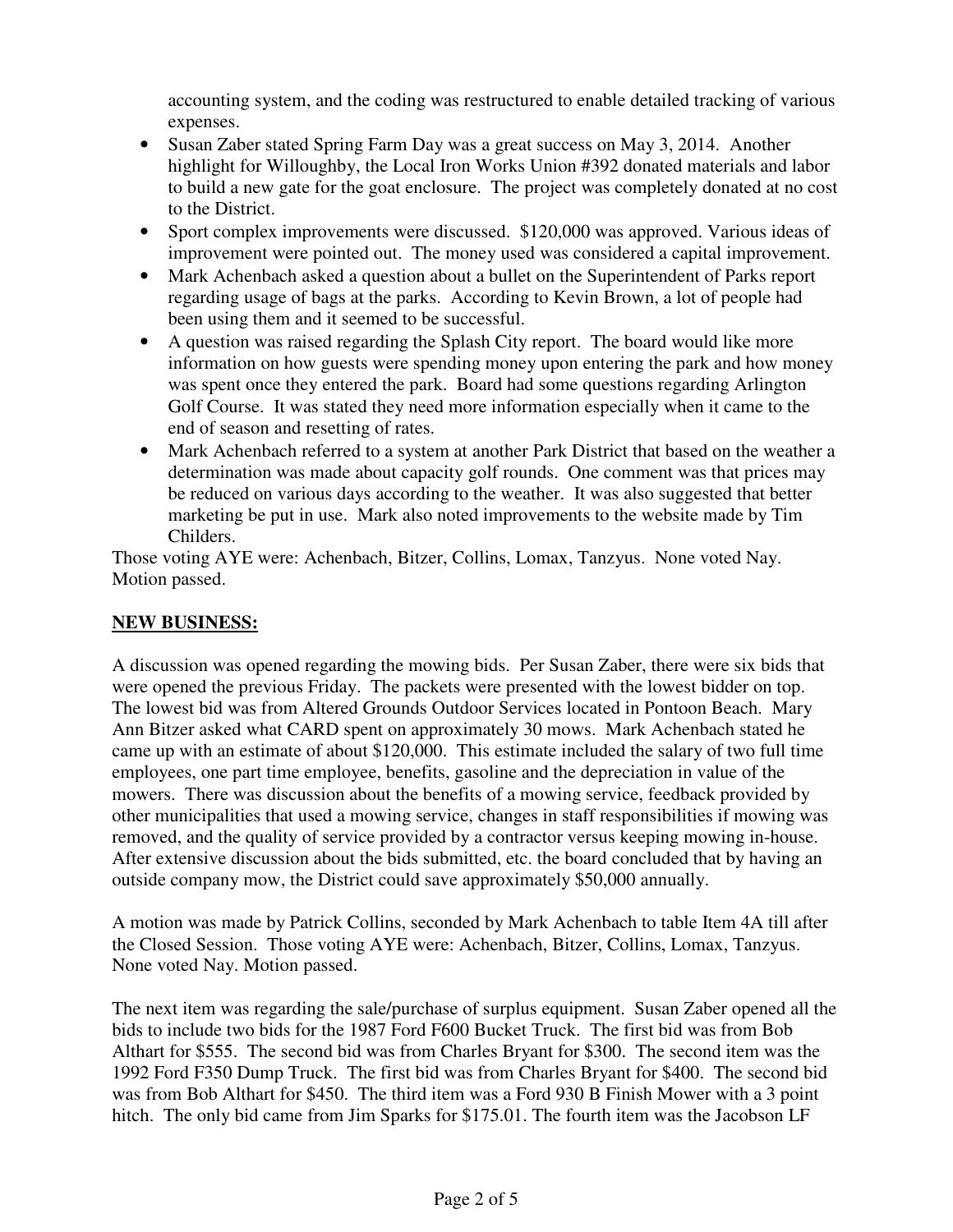accounting system, and the coding was restructured to enable detailed tracking of various expenses.

- Susan Zaber stated Spring Farm Day was a great success on May 3, 2014. Another highlight for Willoughby, the Local Iron Works Union #392 donated materials and labor to build a new gate for the goat enclosure. The project was completely donated at no cost to the District.
- Sport complex improvements were discussed. \$120,000 was approved. Various ideas of improvement were pointed out. The money used was considered a capital improvement.
- Mark Achenbach asked a question about a bullet on the Superintendent of Parks report regarding usage of bags at the parks. According to Kevin Brown, a lot of people had been using them and it seemed to be successful.
- A question was raised regarding the Splash City report. The board would like more information on how guests were spending money upon entering the park and how money was spent once they entered the park. Board had some questions regarding Arlington Golf Course. It was stated they need more information especially when it came to the end of season and resetting of rates.
- Mark Achenbach referred to a system at another Park District that based on the weather a determination was made about capacity golf rounds. One comment was that prices may be reduced on various days according to the weather. It was also suggested that better marketing be put in use. Mark also noted improvements to the website made by Tim Childers.

Those voting AYE were: Achenbach, Bitzer, Collins, Lomax, Tanzyus. None voted Nay. Motion passed.

## **NEW BUSINESS:**

A discussion was opened regarding the mowing bids. Per Susan Zaber, there were six bids that were opened the previous Friday. The packets were presented with the lowest bidder on top. The lowest bid was from Altered Grounds Outdoor Services located in Pontoon Beach. Mary Ann Bitzer asked what CARD spent on approximately 30 mows. Mark Achenbach stated he came up with an estimate of about \$120,000. This estimate included the salary of two full time employees, one part time employee, benefits, gasoline and the depreciation in value of the mowers. There was discussion about the benefits of a mowing service, feedback provided by other municipalities that used a mowing service, changes in staff responsibilities if mowing was removed, and the quality of service provided by a contractor versus keeping mowing in-house. After extensive discussion about the bids submitted, etc. the board concluded that by having an outside company mow, the District could save approximately \$50,000 annually.

A motion was made by Patrick Collins, seconded by Mark Achenbach to table Item 4A till after the Closed Session. Those voting AYE were: Achenbach, Bitzer, Collins, Lomax, Tanzyus. None voted Nay. Motion passed.

The next item was regarding the sale/purchase of surplus equipment. Susan Zaber opened all the bids to include two bids for the 1987 Ford F600 Bucket Truck. The first bid was from Bob Althart for \$555. The second bid was from Charles Bryant for \$300. The second item was the 1992 Ford F350 Dump Truck. The first bid was from Charles Bryant for \$400. The second bid was from Bob Althart for \$450. The third item was a Ford 930 B Finish Mower with a 3 point hitch. The only bid came from Jim Sparks for \$175.01. The fourth item was the Jacobson LF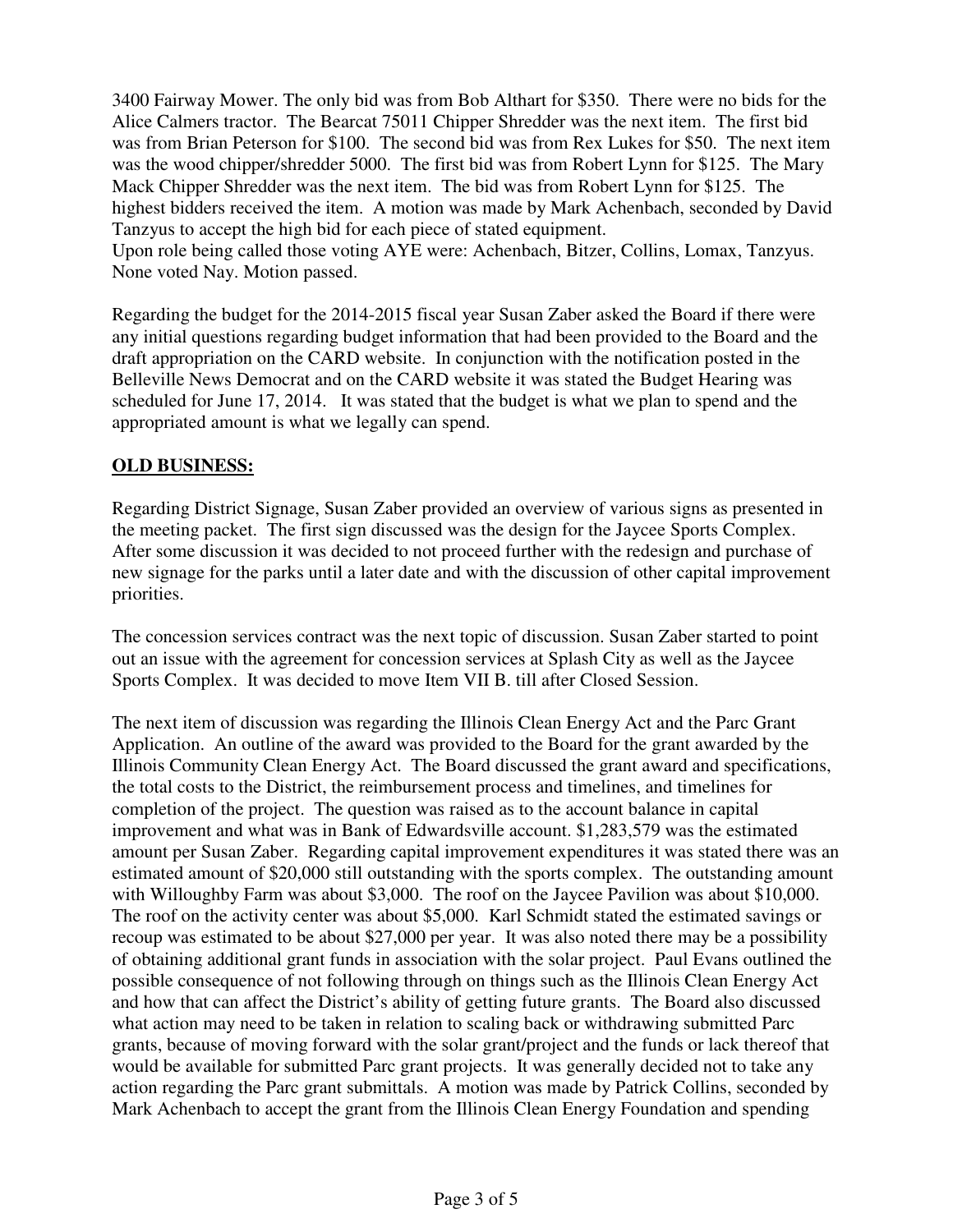3400 Fairway Mower. The only bid was from Bob Althart for \$350. There were no bids for the Alice Calmers tractor. The Bearcat 75011 Chipper Shredder was the next item. The first bid was from Brian Peterson for \$100. The second bid was from Rex Lukes for \$50. The next item was the wood chipper/shredder 5000. The first bid was from Robert Lynn for \$125. The Mary Mack Chipper Shredder was the next item. The bid was from Robert Lynn for \$125. The highest bidders received the item. A motion was made by Mark Achenbach, seconded by David Tanzyus to accept the high bid for each piece of stated equipment.

Upon role being called those voting AYE were: Achenbach, Bitzer, Collins, Lomax, Tanzyus. None voted Nay. Motion passed.

Regarding the budget for the 2014-2015 fiscal year Susan Zaber asked the Board if there were any initial questions regarding budget information that had been provided to the Board and the draft appropriation on the CARD website. In conjunction with the notification posted in the Belleville News Democrat and on the CARD website it was stated the Budget Hearing was scheduled for June 17, 2014. It was stated that the budget is what we plan to spend and the appropriated amount is what we legally can spend.

### **OLD BUSINESS:**

Regarding District Signage, Susan Zaber provided an overview of various signs as presented in the meeting packet. The first sign discussed was the design for the Jaycee Sports Complex. After some discussion it was decided to not proceed further with the redesign and purchase of new signage for the parks until a later date and with the discussion of other capital improvement priorities.

The concession services contract was the next topic of discussion. Susan Zaber started to point out an issue with the agreement for concession services at Splash City as well as the Jaycee Sports Complex. It was decided to move Item VII B. till after Closed Session.

The next item of discussion was regarding the Illinois Clean Energy Act and the Parc Grant Application. An outline of the award was provided to the Board for the grant awarded by the Illinois Community Clean Energy Act. The Board discussed the grant award and specifications, the total costs to the District, the reimbursement process and timelines, and timelines for completion of the project. The question was raised as to the account balance in capital improvement and what was in Bank of Edwardsville account. \$1,283,579 was the estimated amount per Susan Zaber. Regarding capital improvement expenditures it was stated there was an estimated amount of \$20,000 still outstanding with the sports complex. The outstanding amount with Willoughby Farm was about \$3,000. The roof on the Jaycee Pavilion was about \$10,000. The roof on the activity center was about \$5,000. Karl Schmidt stated the estimated savings or recoup was estimated to be about \$27,000 per year. It was also noted there may be a possibility of obtaining additional grant funds in association with the solar project. Paul Evans outlined the possible consequence of not following through on things such as the Illinois Clean Energy Act and how that can affect the District's ability of getting future grants. The Board also discussed what action may need to be taken in relation to scaling back or withdrawing submitted Parc grants, because of moving forward with the solar grant/project and the funds or lack thereof that would be available for submitted Parc grant projects. It was generally decided not to take any action regarding the Parc grant submittals. A motion was made by Patrick Collins, seconded by Mark Achenbach to accept the grant from the Illinois Clean Energy Foundation and spending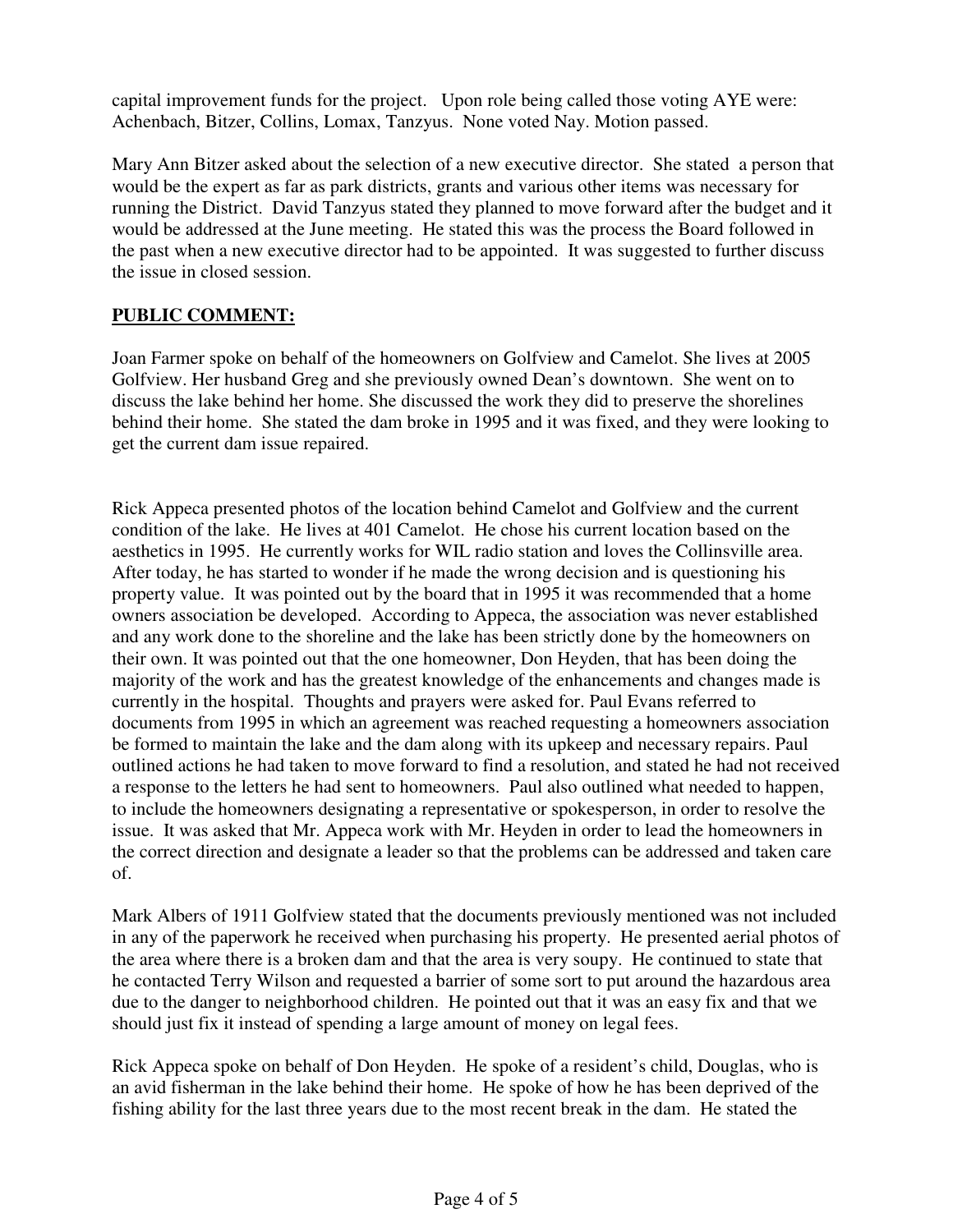capital improvement funds for the project. Upon role being called those voting AYE were: Achenbach, Bitzer, Collins, Lomax, Tanzyus. None voted Nay. Motion passed.

Mary Ann Bitzer asked about the selection of a new executive director. She stated a person that would be the expert as far as park districts, grants and various other items was necessary for running the District. David Tanzyus stated they planned to move forward after the budget and it would be addressed at the June meeting. He stated this was the process the Board followed in the past when a new executive director had to be appointed. It was suggested to further discuss the issue in closed session.

### **PUBLIC COMMENT:**

Joan Farmer spoke on behalf of the homeowners on Golfview and Camelot. She lives at 2005 Golfview. Her husband Greg and she previously owned Dean's downtown. She went on to discuss the lake behind her home. She discussed the work they did to preserve the shorelines behind their home. She stated the dam broke in 1995 and it was fixed, and they were looking to get the current dam issue repaired.

Rick Appeca presented photos of the location behind Camelot and Golfview and the current condition of the lake. He lives at 401 Camelot. He chose his current location based on the aesthetics in 1995. He currently works for WIL radio station and loves the Collinsville area. After today, he has started to wonder if he made the wrong decision and is questioning his property value. It was pointed out by the board that in 1995 it was recommended that a home owners association be developed. According to Appeca, the association was never established and any work done to the shoreline and the lake has been strictly done by the homeowners on their own. It was pointed out that the one homeowner, Don Heyden, that has been doing the majority of the work and has the greatest knowledge of the enhancements and changes made is currently in the hospital. Thoughts and prayers were asked for. Paul Evans referred to documents from 1995 in which an agreement was reached requesting a homeowners association be formed to maintain the lake and the dam along with its upkeep and necessary repairs. Paul outlined actions he had taken to move forward to find a resolution, and stated he had not received a response to the letters he had sent to homeowners. Paul also outlined what needed to happen, to include the homeowners designating a representative or spokesperson, in order to resolve the issue. It was asked that Mr. Appeca work with Mr. Heyden in order to lead the homeowners in the correct direction and designate a leader so that the problems can be addressed and taken care of.

Mark Albers of 1911 Golfview stated that the documents previously mentioned was not included in any of the paperwork he received when purchasing his property. He presented aerial photos of the area where there is a broken dam and that the area is very soupy. He continued to state that he contacted Terry Wilson and requested a barrier of some sort to put around the hazardous area due to the danger to neighborhood children. He pointed out that it was an easy fix and that we should just fix it instead of spending a large amount of money on legal fees.

Rick Appeca spoke on behalf of Don Heyden. He spoke of a resident's child, Douglas, who is an avid fisherman in the lake behind their home. He spoke of how he has been deprived of the fishing ability for the last three years due to the most recent break in the dam. He stated the